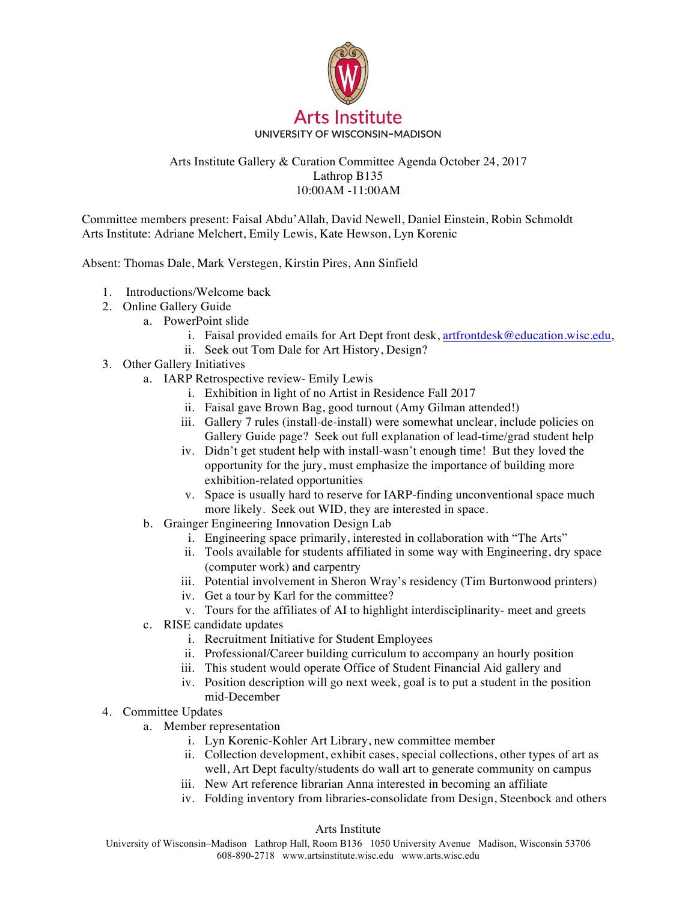

## Arts Institute Gallery & Curation Committee Agenda October 24, 2017 Lathrop B135 10:00AM -11:00AM

Committee members present: Faisal Abdu'Allah, David Newell, Daniel Einstein, Robin Schmoldt Arts Institute: Adriane Melchert, Emily Lewis, Kate Hewson, Lyn Korenic

Absent: Thomas Dale, Mark Verstegen, Kirstin Pires, Ann Sinfield

- 1. Introductions/Welcome back
- 2. Online Gallery Guide
	- a. PowerPoint slide
		- i. Faisal provided emails for Art Dept front desk, artfrontdesk@education.wisc.edu,
		- ii. Seek out Tom Dale for Art History, Design?
- 3. Other Gallery Initiatives
	- a. IARP Retrospective review- Emily Lewis
		- i. Exhibition in light of no Artist in Residence Fall 2017
		- ii. Faisal gave Brown Bag, good turnout (Amy Gilman attended!)
		- iii. Gallery 7 rules (install-de-install) were somewhat unclear, include policies on Gallery Guide page? Seek out full explanation of lead-time/grad student help
		- iv. Didn't get student help with install-wasn't enough time! But they loved the opportunity for the jury, must emphasize the importance of building more exhibition-related opportunities
		- v. Space is usually hard to reserve for IARP-finding unconventional space much more likely. Seek out WID, they are interested in space.
	- b. Grainger Engineering Innovation Design Lab
		- i. Engineering space primarily, interested in collaboration with "The Arts"
		- ii. Tools available for students affiliated in some way with Engineering, dry space (computer work) and carpentry
		- iii. Potential involvement in Sheron Wray's residency (Tim Burtonwood printers)
		- iv. Get a tour by Karl for the committee?
		- v. Tours for the affiliates of AI to highlight interdisciplinarity- meet and greets
	- c. RISE candidate updates
		- i. Recruitment Initiative for Student Employees
		- ii. Professional/Career building curriculum to accompany an hourly position
		- iii. This student would operate Office of Student Financial Aid gallery and
		- iv. Position description will go next week, goal is to put a student in the position mid-December
- 4. Committee Updates
	- a. Member representation
		- i. Lyn Korenic-Kohler Art Library, new committee member
		- ii. Collection development, exhibit cases, special collections, other types of art as well, Art Dept faculty/students do wall art to generate community on campus
		- iii. New Art reference librarian Anna interested in becoming an affiliate
		- iv. Folding inventory from libraries-consolidate from Design, Steenbock and others

## Arts Institute

University of Wisconsin–Madison Lathrop Hall, Room B136 1050 University Avenue Madison, Wisconsin 53706 608-890-2718 www.artsinstitute.wisc.edu www.arts.wisc.edu